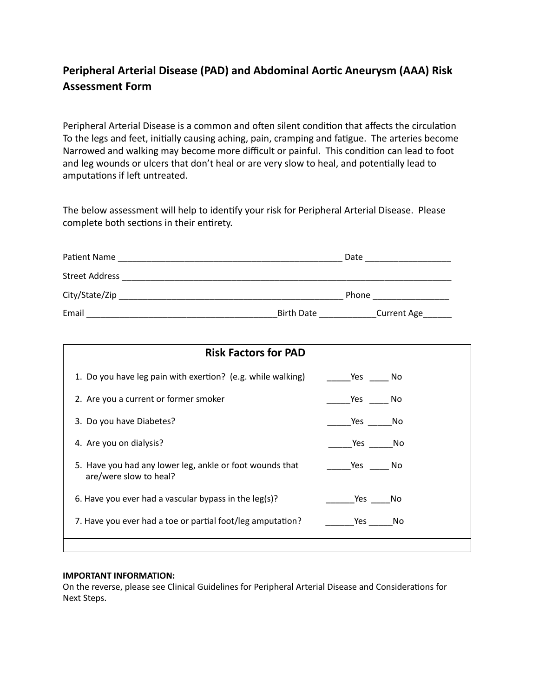# **Peripheral Arterial Disease (PAD) and Abdominal Aorc Aneurysm (AAA) Risk Assessment Form**

Peripheral Arterial Disease is a common and often silent condition that affects the circulation To the legs and feet, initially causing aching, pain, cramping and fatigue. The arteries become Narrowed and walking may become more difficult or painful. This condition can lead to foot and leg wounds or ulcers that don't heal or are very slow to heal, and potentially lead to amputations if left untreated.

The below assessment will help to identify your risk for Peripheral Arterial Disease. Please complete both sections in their entirety.

| Patient Name          |                   | Date               |
|-----------------------|-------------------|--------------------|
| <b>Street Address</b> |                   |                    |
| City/State/Zip        |                   | Phone              |
| Email                 | <b>Birth Date</b> | <b>Current Age</b> |

| <b>Risk Factors for PAD</b>                                                        |             |  |  |
|------------------------------------------------------------------------------------|-------------|--|--|
| 1. Do you have leg pain with exertion? (e.g. while walking)                        | Yes No      |  |  |
| 2. Are you a current or former smoker                                              | Yes<br>No.  |  |  |
| 3. Do you have Diabetes?                                                           | Yes No      |  |  |
| 4. Are you on dialysis?                                                            | Yes No      |  |  |
| 5. Have you had any lower leg, ankle or foot wounds that<br>are/were slow to heal? | Yes<br>- No |  |  |
| 6. Have you ever had a vascular bypass in the leg(s)?                              | Yes<br>No   |  |  |
| 7. Have you ever had a toe or partial foot/leg amputation?                         | Yes<br>No   |  |  |
|                                                                                    |             |  |  |

#### **IMPORTANT INFORMATION:**

On the reverse, please see Clinical Guidelines for Peripheral Arterial Disease and Considerations for Next Steps.